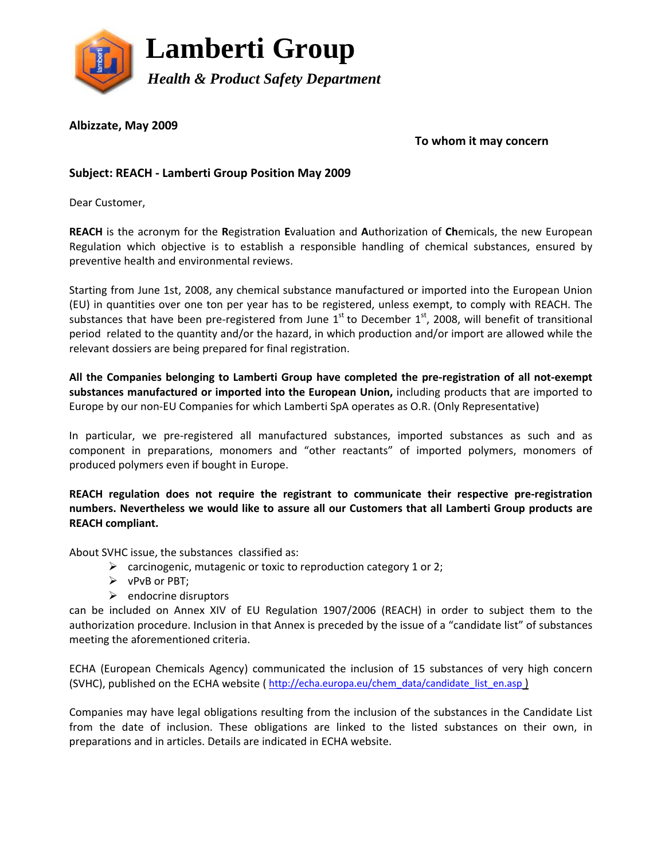

## **Albizzate, May 2009**

## **To whom it may concern**

## **Subject: REACH ‐ Lamberti Group Position May 2009**

Dear Customer,

**REACH** is the acronym for the **R**egistration **E**valuation and **A**uthorization of **Ch**emicals, the new European Regulation which objective is to establish a responsible handling of chemical substances, ensured by preventive health and environmental reviews.

Starting from June 1st, 2008, any chemical substance manufactured or imported into the European Union (EU) in quantities over one ton per year has to be registered, unless exempt, to comply with REACH. The substances that have been pre-registered from June  $1<sup>st</sup>$  to December  $1<sup>st</sup>$ , 2008, will benefit of transitional period related to the quantity and/or the hazard, in which production and/or import are allowed while the relevant dossiers are being prepared for final registration.

All the Companies belonging to Lamberti Group have completed the pre-registration of all not-exempt **substances manufactured or imported into the European Union,** including products that are imported to Europe by our non‐EU Companies for which Lamberti SpA operates as O.R. (Only Representative)

In particular, we pre-registered all manufactured substances, imported substances as such and as component in preparations, monomers and "other reactants" of imported polymers, monomers of produced polymers even if bought in Europe.

**REACH regulation does not require the registrant to communicate their respective pre‐registration numbers. Nevertheless we would like to assure all our Customers that all Lamberti Group products are REACH compliant.**

About SVHC issue, the substances classified as:

- $\triangleright$  carcinogenic, mutagenic or toxic to reproduction category 1 or 2;
- ¾ vPvB or PBT;
- $\triangleright$  endocrine disruptors

can be included on Annex XIV of EU Regulation 1907/2006 (REACH) in order to subject them to the authorization procedure. Inclusion in that Annex is preceded by the issue of a "candidate list" of substances meeting the aforementioned criteria.

ECHA (European Chemicals Agency) communicated the inclusion of 15 substances of very high concern (SVHC), published on the ECHA website ( [http://echa.europa.eu/chem\\_data/candidate\\_list\\_en.asp](http://echa.europa.eu/chem_data/candidate_list_en.asp) )

Companies may have legal obligations resulting from the inclusion of the substances in the Candidate List from the date of inclusion. These obligations are linked to the listed substances on their own, in preparations and in articles. Details are indicated in ECHA website.